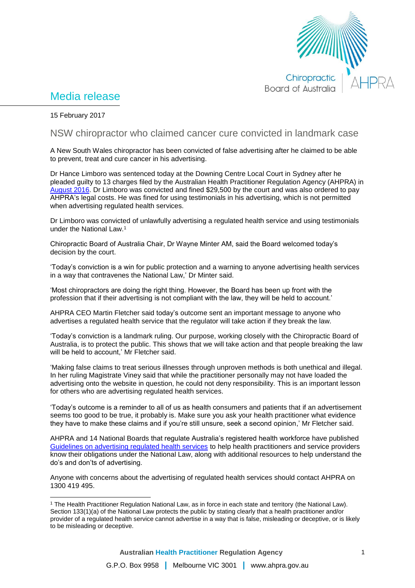

## Media release

15 February 2017

 $\overline{a}$ 

## NSW chiropractor who claimed cancer cure convicted in landmark case

A New South Wales chiropractor has been convicted of false advertising after he claimed to be able to prevent, treat and cure cancer in his advertising.

Dr Hance Limboro was sentenced today at the Downing Centre Local Court in Sydney after he pleaded guilty to 13 charges filed by the Australian Health Practitioner Regulation Agency (AHPRA) in [August 2016.](http://www.ahpra.gov.au/News/2016-08-01-misleading-advertising.aspx) Dr Limboro was convicted and fined \$29,500 by the court and was also ordered to pay AHPRA's legal costs. He was fined for using testimonials in his advertising, which is not permitted when advertising regulated health services.

Dr Limboro was convicted of unlawfully advertising a regulated health service and using testimonials under the National Law.<sup>1</sup>

Chiropractic Board of Australia Chair, Dr Wayne Minter AM, said the Board welcomed today's decision by the court.

'Today's conviction is a win for public protection and a warning to anyone advertising health services in a way that contravenes the National Law,' Dr Minter said.

'Most chiropractors are doing the right thing. However, the Board has been up front with the profession that if their advertising is not compliant with the law, they will be held to account.'

AHPRA CEO Martin Fletcher said today's outcome sent an important message to anyone who advertises a regulated health service that the regulator will take action if they break the law.

'Today's conviction is a landmark ruling. Our purpose, working closely with the Chiropractic Board of Australia, is to protect the public. This shows that we will take action and that people breaking the law will be held to account,' Mr Fletcher said.

'Making false claims to treat serious illnesses through unproven methods is both unethical and illegal. In her ruling Magistrate Viney said that while the practitioner personally may not have loaded the advertising onto the website in question, he could not deny responsibility. This is an important lesson for others who are advertising regulated health services.

'Today's outcome is a reminder to all of us as health consumers and patients that if an advertisement seems too good to be true, it probably is. Make sure you ask your health practitioner what evidence they have to make these claims and if you're still unsure, seek a second opinion,' Mr Fletcher said.

AHPRA and 14 National Boards that regulate Australia's registered health workforce have published [Guidelines on advertising regulated health services](http://www.ahpra.gov.au/Publications/Advertising-resources/Legislation-guidelines.aspx) to help health practitioners and service providers know their obligations under the National Law, along with additional resources to help understand the do's and don'ts of advertising.

Anyone with concerns about the advertising of regulated health services should contact AHPRA on 1300 419 495.

<sup>1</sup> The Health Practitioner Regulation National Law, as in force in each state and territory (the National Law). Section 133(1)(a) of the National Law protects the public by stating clearly that a health practitioner and/or provider of a regulated health service cannot advertise in a way that is false, misleading or deceptive, or is likely to be misleading or deceptive.